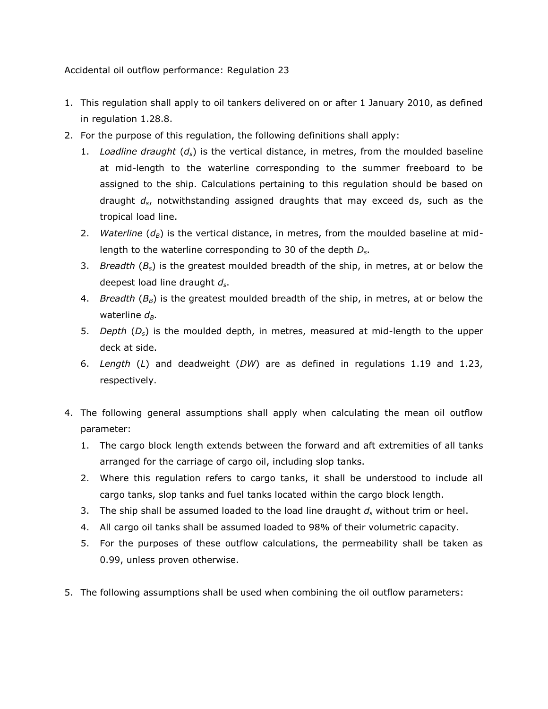Accidental oil outflow performance: Regulation 23

- 1. This regulation shall apply to oil tankers delivered on or after 1 January 2010, as defined in regulation 1.28.8.
- 2. For the purpose of this regulation, the following definitions shall apply:
	- 1. *Loadline draught* (*ds*) is the vertical distance, in metres, from the moulded baseline at mid-length to the waterline corresponding to the summer freeboard to be assigned to the ship. Calculations pertaining to this regulation should be based on draught *ds*, notwithstanding assigned draughts that may exceed ds, such as the tropical load line.
	- 2. *Waterline*  $(d_B)$  is the vertical distance, in metres, from the moulded baseline at midlength to the waterline corresponding to 30 of the depth *Ds*.
	- 3. *Breadth* (*Bs*) is the greatest moulded breadth of the ship, in metres, at or below the deepest load line draught *ds*.
	- 4. *Breadth* (*BB*) is the greatest moulded breadth of the ship, in metres, at or below the waterline  $d_B$ .
	- 5. *Depth* (*Ds*) is the moulded depth, in metres, measured at mid-length to the upper deck at side.
	- 6. *Length* (*L*) and deadweight (*DW*) are as defined in regulations 1.19 and 1.23, respectively.
- 4. The following general assumptions shall apply when calculating the mean oil outflow parameter:
	- 1. The cargo block length extends between the forward and aft extremities of all tanks arranged for the carriage of cargo oil, including slop tanks.
	- 2. Where this regulation refers to cargo tanks, it shall be understood to include all cargo tanks, slop tanks and fuel tanks located within the cargo block length.
	- 3. The ship shall be assumed loaded to the load line draught *d<sup>s</sup>* without trim or heel.
	- 4. All cargo oil tanks shall be assumed loaded to 98% of their volumetric capacity.
	- 5. For the purposes of these outflow calculations, the permeability shall be taken as 0.99, unless proven otherwise.
- 5. The following assumptions shall be used when combining the oil outflow parameters: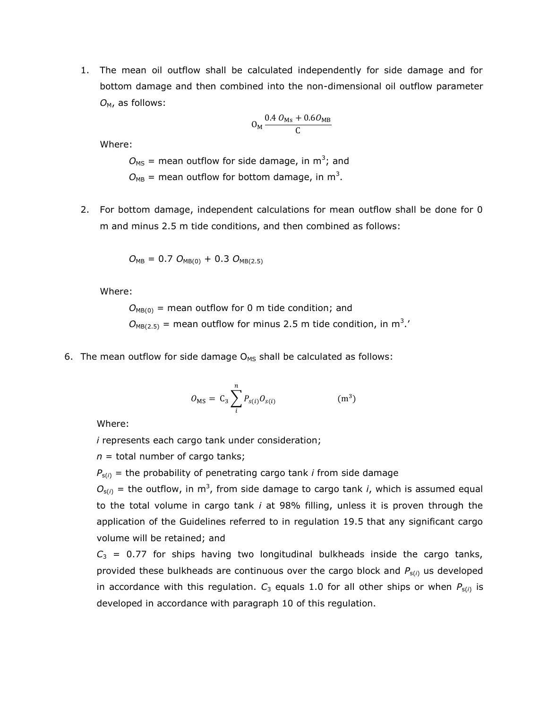1. The mean oil outflow shall be calculated independently for side damage and for bottom damage and then combined into the non-dimensional oil outflow parameter O<sub>M</sub>, as follows:

$$
O_{\rm M} \frac{0.4 \ O_{\rm Ms} + 0.6 O_{\rm MB}}{C}
$$

Where:

 $O_\text{MS}$  = mean outflow for side damage, in m<sup>3</sup>; and  $O_{MB}$  = mean outflow for bottom damage, in m<sup>3</sup>.

2. For bottom damage, independent calculations for mean outflow shall be done for 0 m and minus 2.5 m tide conditions, and then combined as follows:

$$
O_{MB} = 0.7 O_{MB(0)} + 0.3 O_{MB(2.5)}
$$

Where:

 $O_{MB(0)}$  = mean outflow for 0 m tide condition; and  $O_{MB(2.5)}$  = mean outflow for minus 2.5 m tide condition, in m<sup>3</sup>.

6. The mean outflow for side damage  $O_{MS}$  shall be calculated as follows:

$$
O_{MS} = C_3 \sum_{i}^{n} P_{s(i)} O_{s(i)}
$$
 (m<sup>3</sup>)

Where:

*i* represents each cargo tank under consideration;

*n* = total number of cargo tanks;

 $P_{s(i)}$  = the probability of penetrating cargo tank *i* from side damage

 $O_{s(i)}$  = the outflow, in m<sup>3</sup>, from side damage to cargo tank *i*, which is assumed equal to the total volume in cargo tank *i* at 98% filling, unless it is proven through the application of the Guidelines referred to in regulation 19.5 that any significant cargo volume will be retained; and

 $C_3$  = 0.77 for ships having two longitudinal bulkheads inside the cargo tanks, provided these bulkheads are continuous over the cargo block and *P*s(*i*) us developed in accordance with this regulation.  $C_3$  equals 1.0 for all other ships or when  $P_{s(i)}$  is developed in accordance with paragraph 10 of this regulation.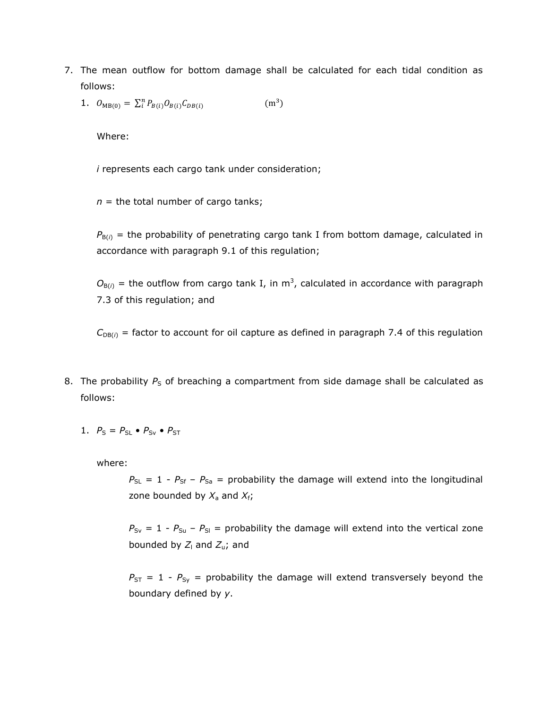- 7. The mean outflow for bottom damage shall be calculated for each tidal condition as follows:
	- 1.  $O_{MB(0)} = \sum_{i=1}^{n} P_i$  $(m<sup>3</sup>)$

Where:

*i* represents each cargo tank under consideration;

 $n =$  the total number of cargo tanks;

 $P_{B(i)}$  = the probability of penetrating cargo tank I from bottom damage, calculated in accordance with paragraph 9.1 of this regulation;

 $O_{B(i)}$  = the outflow from cargo tank I, in m<sup>3</sup>, calculated in accordance with paragraph 7.3 of this regulation; and

 $C_{DB(i)}$  = factor to account for oil capture as defined in paragraph 7.4 of this regulation

- 8. The probability  $P_S$  of breaching a compartment from side damage shall be calculated as follows:
	- 1.  $P_S = P_{SL} \bullet P_{SV} \bullet P_{ST}$

where:

 $P_{SL}$  = 1 -  $P_{Sf}$  –  $P_{Sa}$  = probability the damage will extend into the longitudinal zone bounded by  $X_a$  and  $X_f$ ;

 $P_{Sv} = 1 - P_{Su} - P_{Sl}$  = probability the damage will extend into the vertical zone bounded by  $Z_1$  and  $Z_1$ ; and

 $P_{ST}$  = 1 -  $P_{Sy}$  = probability the damage will extend transversely beyond the boundary defined by *y*.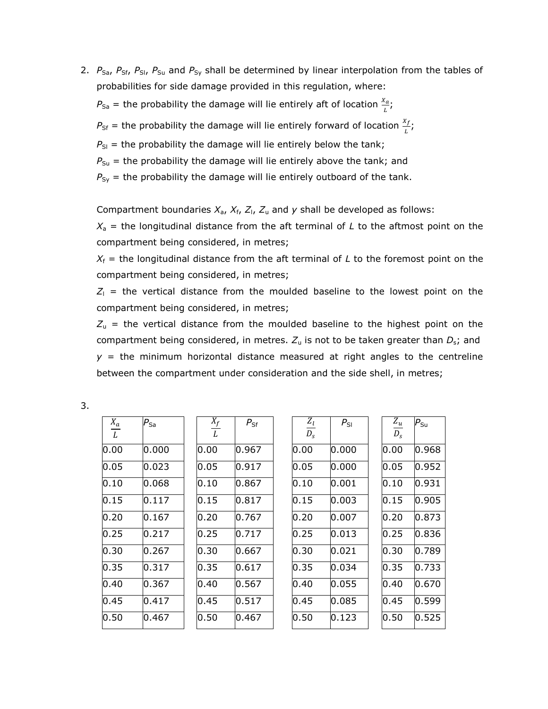2. *P<sub>Sa</sub>*, *P<sub>Sf</sub>*, *P<sub>SI</sub>*, *P<sub>Su</sub>* and *P<sub>Sy</sub>* shall be determined by linear interpolation from the tables of probabilities for side damage provided in this regulation, where:

 $P_{\text{Sa}}$  = the probability the damage will lie entirely aft of location  $\frac{\lambda a}{L}$ ;

 $P_{\text{Sf}}$  = the probability the damage will lie entirely forward of location  $\frac{df}{L}$ ;

 $P_{SI}$  = the probability the damage will lie entirely below the tank;

 $P_{Su}$  = the probability the damage will lie entirely above the tank; and

 $P_{Sy}$  = the probability the damage will lie entirely outboard of the tank.

Compartment boundaries  $X_a$ ,  $X_f$ ,  $Z_i$ ,  $Z_u$  and  $y$  shall be developed as follows:

 $X<sub>a</sub>$  = the longitudinal distance from the aft terminal of *L* to the aftmost point on the compartment being considered, in metres;

 $X_f$  = the longitudinal distance from the aft terminal of *L* to the foremost point on the compartment being considered, in metres;

 $Z_1$  = the vertical distance from the moulded baseline to the lowest point on the compartment being considered, in metres;

 $Z<sub>u</sub>$  = the vertical distance from the moulded baseline to the highest point on the compartment being considered, in metres.  $Z_u$  is not to be taken greater than  $D_s$ ; and  $y =$  the minimum horizontal distance measured at right angles to the centreline between the compartment under consideration and the side shell, in metres;

3.

| $X_a$<br>L | $P_{\text{Sa}}$ | $X_f$<br>L | $P_{\text{Sf}}$ | $\frac{Z_l}{D_s}$ | $P_{SI}$ | $Z_u$<br>$D_{S}$ | $P_{Su}$ |
|------------|-----------------|------------|-----------------|-------------------|----------|------------------|----------|
| 0.00       | 0.000           | 0.00       | 0.967           | 0.00              | 0.000    | 0.00             | 0.968    |
| 0.05       | 0.023           | 0.05       | 0.917           | 0.05              | 0.000    | 0.05             | 0.952    |
| 0.10       | 0.068           | 0.10       | 0.867           | 0.10              | 0.001    | 0.10             | 0.931    |
| 0.15       | 0.117           | 0.15       | 0.817           | 0.15              | 0.003    | 0.15             | 0.905    |
| 0.20       | 0.167           | 0.20       | 0.767           | 0.20              | 0.007    | 0.20             | 0.873    |
| 0.25       | 0.217           | 0.25       | 0.717           | 0.25              | 0.013    | 0.25             | 0.836    |
| 0.30       | 0.267           | 0.30       | 0.667           | 0.30              | 0.021    | 0.30             | 0.789    |
| 0.35       | 0.317           | 0.35       | 0.617           | 0.35              | 0.034    | 0.35             | 0.733    |
| 0.40       | 0.367           | 0.40       | 0.567           | 0.40              | 0.055    | 0.40             | 0.670    |
| 0.45       | 0.417           | 0.45       | 0.517           | 0.45              | 0.085    | 0.45             | 0.599    |
| 0.50       | 0.467           | 0.50       | 0.467           | 0.50              | 0.123    | 0.50             | 0.525    |
|            |                 |            |                 |                   |          |                  |          |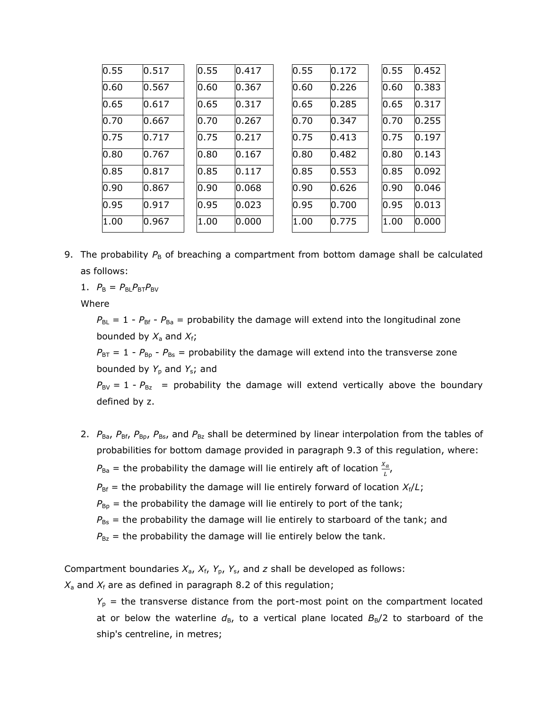| 0.55 | 0.517 | 0.55 | 0.417 | 0.55 | 0.172 | 0.55 | 0.452 |
|------|-------|------|-------|------|-------|------|-------|
| 0.60 | 0.567 | 0.60 | 0.367 | 0.60 | 0.226 | 0.60 | 0.383 |
| 0.65 | 0.617 | 0.65 | 0.317 | 0.65 | 0.285 | 0.65 | 0.317 |
| 0.70 | 0.667 | 0.70 | 0.267 | 0.70 | 0.347 | 0.70 | 0.255 |
| 0.75 | 0.717 | 0.75 | 0.217 | 0.75 | 0.413 | 0.75 | 0.197 |
| 0.80 | 0.767 | 0.80 | 0.167 | 0.80 | 0.482 | 0.80 | 0.143 |
| 0.85 | 0.817 | 0.85 | 0.117 | 0.85 | 0.553 | 0.85 | 0.092 |
| 0.90 | 0.867 | 0.90 | 0.068 | 0.90 | 0.626 | 0.90 | 0.046 |
| 0.95 | 0.917 | 0.95 | 0.023 | 0.95 | 0.700 | 0.95 | 0.013 |
| 1.00 | 0.967 | 1.00 | 0.000 | 1.00 | 0.775 | 1.00 | 0.000 |

9. The probability  $P_B$  of breaching a compartment from bottom damage shall be calculated as follows:

1.  $P_{B} = P_{BL}P_{BT}P_{BY}$ 

Where

 $P_{BL}$  = 1 -  $P_{Bf}$  -  $P_{Ba}$  = probability the damage will extend into the longitudinal zone bounded by  $X_a$  and  $X_f$ ;

 $P_{\text{BT}} = 1 - P_{\text{Bp}} - P_{\text{Bs}} =$  probability the damage will extend into the transverse zone bounded by *Y*<sup>p</sup> and *Y*s; and

 $P_{\text{BV}} = 1 - P_{\text{Bz}}$  = probability the damage will extend vertically above the boundary defined by z.

2.  $P_{Ba}$ ,  $P_{Bf}$ ,  $P_{Bp}$ ,  $P_{Bs}$ , and  $P_{Bz}$  shall be determined by linear interpolation from the tables of probabilities for bottom damage provided in paragraph 9.3 of this regulation, where:

 $P_{\text{Ba}}$  = the probability the damage will lie entirely aft of location  $\frac{\lambda a}{L}$ ,

 $P_{\text{Bf}}$  = the probability the damage will lie entirely forward of location  $X_{\text{f}}/L$ ;

 $P_{\text{Bp}}$  = the probability the damage will lie entirely to port of the tank;

 $P_{\text{Bs}}$  = the probability the damage will lie entirely to starboard of the tank; and

 $P_{Bz}$  = the probability the damage will lie entirely below the tank.

Compartment boundaries  $X_a$ ,  $X_f$ ,  $Y_p$ ,  $Y_s$ , and *z* shall be developed as follows:

 $X_a$  and  $X_f$  are as defined in paragraph 8.2 of this regulation;

*Y*<sup>p</sup> = the transverse distance from the port-most point on the compartment located at or below the waterline  $d_{\text{B}}$ , to a vertical plane located  $B_{\text{B}}/2$  to starboard of the ship's centreline, in metres;